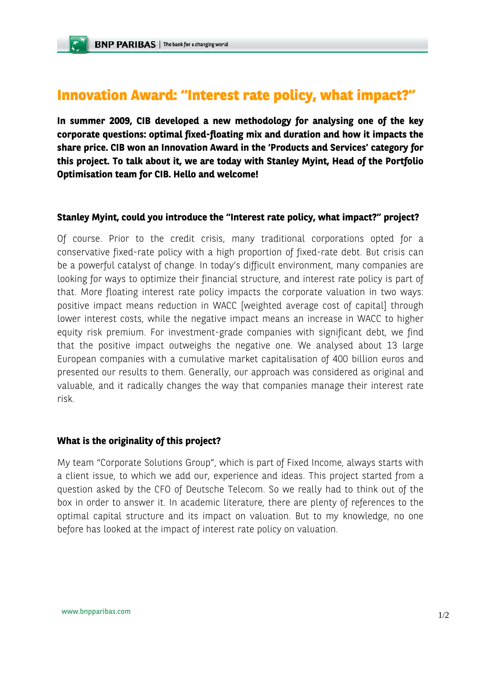## **Innovation Award: "Interest rate policy, what impact?"**

**In summer 2009, CIB developed a new methodology for analysing one of the key corporate questions: optimal fixed-floating mix and duration and how it impacts the share price. CIB won an Innovation Award in the 'Products and Services' category for this project. To talk about it, we are today with Stanley Myint, Head of the Portfolio Optimisation team for CIB. Hello and welcome!** 

## **Stanley Myint, could you introduce the "Interest rate policy, what impact?" project?**

Of course. Prior to the credit crisis, many traditional corporations opted for a conservative fixed-rate policy with a high proportion of fixed-rate debt. But crisis can be a powerful catalyst of change. In today's difficult environment, many companies are looking for ways to optimize their financial structure, and interest rate policy is part of that. More floating interest rate policy impacts the corporate valuation in two ways: positive impact means reduction in WACC [weighted average cost of capital] through lower interest costs, while the negative impact means an increase in WACC to higher equity risk premium. For investment-grade companies with significant debt, we find that the positive impact outweighs the negative one. We analysed about 13 large European companies with a cumulative market capitalisation of 400 billion euros and presented our results to them. Generally, our approach was considered as original and valuable, and it radically changes the way that companies manage their interest rate risk.

## **What is the originality of this project?**

My team "Corporate Solutions Group", which is part of Fixed Income, always starts with a client issue, to which we add our, experience and ideas. This project started from a question asked by the CFO of Deutsche Telecom. So we really had to think out of the box in order to answer it. In academic literature, there are plenty of references to the optimal capital structure and its impact on valuation. But to my knowledge, no one before has looked at the impact of interest rate policy on valuation.